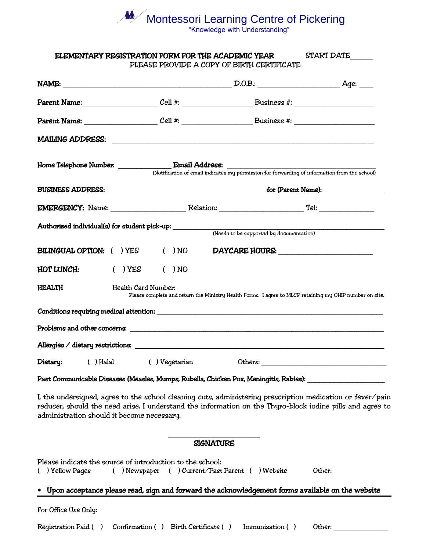# Montessori Learning Centre of Pickering

"Knowledge with Understanding"

|                                 | ELEMENTARY REGISTRATION FORM FOR THE ACADEMIC YEAR                                                                                                                                                                                                                    | PLEASE PROVIDE A COPY OF BIRTH CERTIFICATE                                                              | <b>START DATE</b> |  |
|---------------------------------|-----------------------------------------------------------------------------------------------------------------------------------------------------------------------------------------------------------------------------------------------------------------------|---------------------------------------------------------------------------------------------------------|-------------------|--|
|                                 |                                                                                                                                                                                                                                                                       |                                                                                                         |                   |  |
|                                 | Parent Name: Cell #: Cell #: Business #:                                                                                                                                                                                                                              |                                                                                                         |                   |  |
|                                 |                                                                                                                                                                                                                                                                       |                                                                                                         |                   |  |
|                                 |                                                                                                                                                                                                                                                                       |                                                                                                         |                   |  |
|                                 |                                                                                                                                                                                                                                                                       | (Notification of email indicates my permission for forwarding of information from the school)           |                   |  |
|                                 |                                                                                                                                                                                                                                                                       |                                                                                                         |                   |  |
|                                 | EMERGENCY: Name: Relation: Relation: Tel:                                                                                                                                                                                                                             |                                                                                                         |                   |  |
|                                 | Authorized individual(s) for student pick-up: __________________________________                                                                                                                                                                                      | (Needs to be supported by documentation)                                                                |                   |  |
| <b>BILINGUAL OPTION: () YES</b> | $( )$ NO                                                                                                                                                                                                                                                              | DAYCARE HOURS:                                                                                          |                   |  |
| <b>HOT LUNCH:</b>               | $( )$ YES<br>$($ $)$ NO                                                                                                                                                                                                                                               |                                                                                                         |                   |  |
| HEALTH                          | Health Card Number:                                                                                                                                                                                                                                                   | Please complete and return the Ministry Health Forms. I agree to MLCP retaining my OHIP number on site. |                   |  |
|                                 |                                                                                                                                                                                                                                                                       |                                                                                                         |                   |  |
|                                 |                                                                                                                                                                                                                                                                       |                                                                                                         |                   |  |
|                                 |                                                                                                                                                                                                                                                                       |                                                                                                         |                   |  |
|                                 | Dietary: () Halal () Vegetarian Others:                                                                                                                                                                                                                               |                                                                                                         |                   |  |
|                                 | Past Communicable Diseases (Measles, Mumps, Rubella, Chicken Pox, Meningitis, Rabies): ______________________                                                                                                                                                         |                                                                                                         |                   |  |
|                                 | I, the undersigned, agree to the school cleaning cuts, administering prescription medication or fever/pain<br>reducer, should the need arise. I understand the information on the Thyro-block iodine pills and agree to<br>administration should it become necessary. |                                                                                                         |                   |  |
|                                 |                                                                                                                                                                                                                                                                       | <b>SIGNATURE</b>                                                                                        |                   |  |
| ( ) Yellow Pages                | Please indicate the source of introduction to the school:<br>( ) Newspaper ( ) Current/Past Parent ( ) Website                                                                                                                                                        |                                                                                                         |                   |  |
|                                 | Upon acceptance please read, sign and forward the acknowledgement forms available on the website                                                                                                                                                                      |                                                                                                         |                   |  |
| For Office Use Only:            |                                                                                                                                                                                                                                                                       |                                                                                                         |                   |  |
|                                 |                                                                                                                                                                                                                                                                       |                                                                                                         |                   |  |